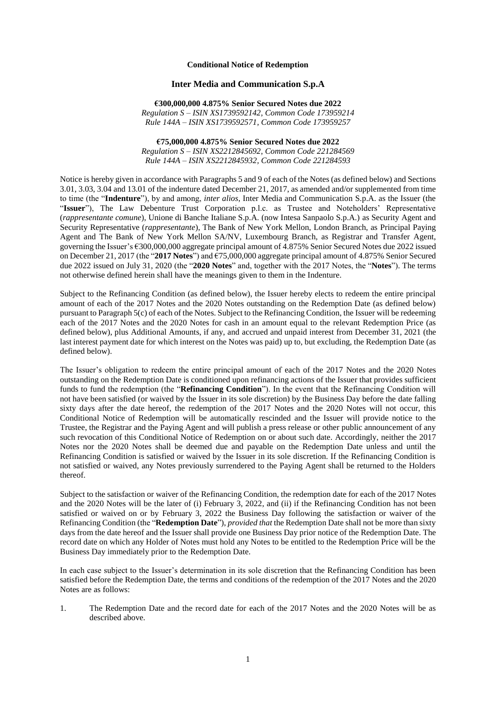## **Conditional Notice of Redemption**

## **Inter Media and Communication S.p.A**

**€300,000,000 4.875% Senior Secured Notes due 2022** *Regulation S – ISIN XS1739592142, Common Code 173959214 Rule 144A – ISIN XS1739592571, Common Code 173959257*

**€75,000,000 4.875% Senior Secured Notes due 2022** *Regulation S – ISIN XS2212845692, Common Code 221284569 Rule 144A – ISIN XS2212845932, Common Code 221284593*

Notice is hereby given in accordance with Paragraphs 5 and 9 of each of the Notes (as defined below) and Sections 3.01, 3.03, 3.04 and 13.01 of the indenture dated December 21, 2017, as amended and/or supplemented from time to time (the "**Indenture**"), by and among, *inter alios*, Inter Media and Communication S.p.A. as the Issuer (the "**Issuer**"), The Law Debenture Trust Corporation p.l.c. as Trustee and Noteholders' Representative (*rappresentante comune*), Unione di Banche Italiane S.p.A. (now Intesa Sanpaolo S.p.A.) as Security Agent and Security Representative (*rappresentante*), The Bank of New York Mellon, London Branch, as Principal Paying Agent and The Bank of New York Mellon SA/NV, Luxembourg Branch, as Registrar and Transfer Agent, governing the Issuer's €300,000,000 aggregate principal amount of 4.875% Senior Secured Notes due 2022 issued on December 21, 2017 (the "**2017 Notes**") and €75,000,000 aggregate principal amount of 4.875% Senior Secured due 2022 issued on July 31, 2020 (the "**2020 Notes**" and, together with the 2017 Notes, the "**Notes**"). The terms not otherwise defined herein shall have the meanings given to them in the Indenture.

Subject to the Refinancing Condition (as defined below), the Issuer hereby elects to redeem the entire principal amount of each of the 2017 Notes and the 2020 Notes outstanding on the Redemption Date (as defined below) pursuant to Paragraph 5(c) of each of the Notes. Subject to the Refinancing Condition, the Issuer will be redeeming each of the 2017 Notes and the 2020 Notes for cash in an amount equal to the relevant Redemption Price (as defined below), plus Additional Amounts, if any, and accrued and unpaid interest from December 31, 2021 (the last interest payment date for which interest on the Notes was paid) up to, but excluding, the Redemption Date (as defined below).

The Issuer's obligation to redeem the entire principal amount of each of the 2017 Notes and the 2020 Notes outstanding on the Redemption Date is conditioned upon refinancing actions of the Issuer that provides sufficient funds to fund the redemption (the "**Refinancing Condition**"). In the event that the Refinancing Condition will not have been satisfied (or waived by the Issuer in its sole discretion) by the Business Day before the date falling sixty days after the date hereof, the redemption of the 2017 Notes and the 2020 Notes will not occur, this Conditional Notice of Redemption will be automatically rescinded and the Issuer will provide notice to the Trustee, the Registrar and the Paying Agent and will publish a press release or other public announcement of any such revocation of this Conditional Notice of Redemption on or about such date. Accordingly, neither the 2017 Notes nor the 2020 Notes shall be deemed due and payable on the Redemption Date unless and until the Refinancing Condition is satisfied or waived by the Issuer in its sole discretion. If the Refinancing Condition is not satisfied or waived, any Notes previously surrendered to the Paying Agent shall be returned to the Holders thereof.

Subject to the satisfaction or waiver of the Refinancing Condition, the redemption date for each of the 2017 Notes and the 2020 Notes will be the later of (i) February 3, 2022, and (ii) if the Refinancing Condition has not been satisfied or waived on or by February 3, 2022 the Business Day following the satisfaction or waiver of the Refinancing Condition (the "**Redemption Date**"), *provided that* the Redemption Date shall not be more than sixty days from the date hereof and the Issuer shall provide one Business Day prior notice of the Redemption Date. The record date on which any Holder of Notes must hold any Notes to be entitled to the Redemption Price will be the Business Day immediately prior to the Redemption Date.

In each case subject to the Issuer's determination in its sole discretion that the Refinancing Condition has been satisfied before the Redemption Date, the terms and conditions of the redemption of the 2017 Notes and the 2020 Notes are as follows:

1. The Redemption Date and the record date for each of the 2017 Notes and the 2020 Notes will be as described above